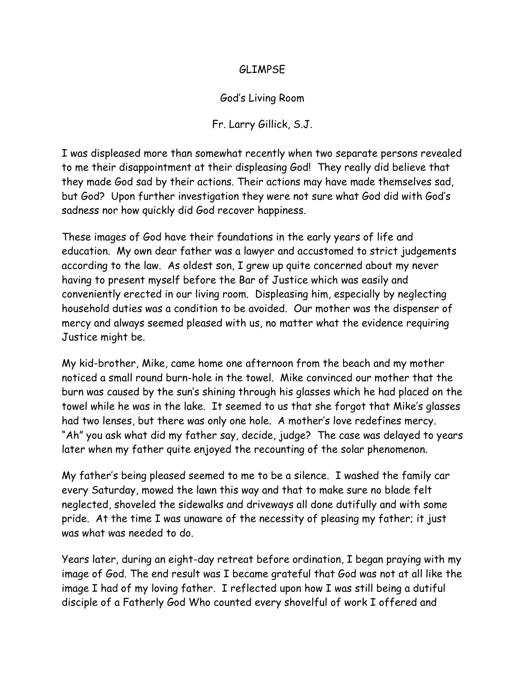## GLIMPSE

## God's Living Room

## Fr. Larry Gillick, S.J.

I was displeased more than somewhat recently when two separate persons revealed to me their disappointment at their displeasing God! They really did believe that they made God sad by their actions. Their actions may have made themselves sad, but God? Upon further investigation they were not sure what God did with God's sadness nor how quickly did God recover happiness.

These images of God have their foundations in the early years of life and education. My own dear father was a lawyer and accustomed to strict judgements according to the law. As oldest son, I grew up quite concerned about my never having to present myself before the Bar of Justice which was easily and conveniently erected in our living room. Displeasing him, especially by neglecting household duties was a condition to be avoided. Our mother was the dispenser of mercy and always seemed pleased with us, no matter what the evidence requiring Justice might be.

My kid-brother, Mike, came home one afternoon from the beach and my mother noticed a small round burn-hole in the towel. Mike convinced our mother that the burn was caused by the sun's shining through his glasses which he had placed on the towel while he was in the lake. It seemed to us that she forgot that Mike's glasses had two lenses, but there was only one hole. A mother's love redefines mercy. "Ah" you ask what did my father say, decide, judge? The case was delayed to years later when my father quite enjoyed the recounting of the solar phenomenon.

My father's being pleased seemed to me to be a silence. I washed the family car every Saturday, mowed the lawn this way and that to make sure no blade felt neglected, shoveled the sidewalks and driveways all done dutifully and with some pride. At the time I was unaware of the necessity of pleasing my father; it just was what was needed to do.

Years later, during an eight-day retreat before ordination, I began praying with my image of God. The end result was I became grateful that God was not at all like the image I had of my loving father. I reflected upon how I was still being a dutiful disciple of a Fatherly God Who counted every shovelful of work I offered and